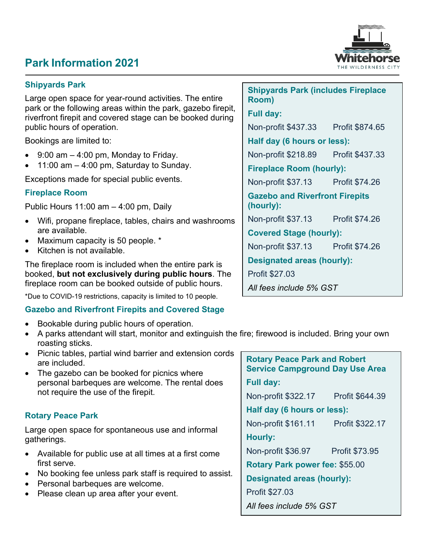# **Park Information 2021**



## **Shipyards Park**

Large open space for year-round activities. The entire park or the following areas within the park, gazebo firepit, riverfront firepit and covered stage can be booked during public hours of operation.

Bookings are limited to:

- $9:00$  am  $-4:00$  pm, Monday to Friday.
- 11:00 am  $-$  4:00 pm, Saturday to Sunday.

Exceptions made for special public events.

## **Fireplace Room**

Public Hours 11:00 am – 4:00 pm, Daily

- Wifi, propane fireplace, tables, chairs and washrooms are available.
- Maximum capacity is 50 people. \*
- Kitchen is not available.

The fireplace room is included when the entire park is booked, **but not exclusively during public hours**. The fireplace room can be booked outside of public hours.

\*Due to COVID-19 restrictions, capacity is limited to 10 people.

#### **Gazebo and Riverfront Firepits and Covered Stage**

- Bookable during public hours of operation.
- A parks attendant will start, monitor and extinguish the fire; firewood is included. Bring your own roasting sticks.
- Picnic tables, partial wind barrier and extension cords are included.
- The gazebo can be booked for picnics where personal barbeques are welcome. The rental does not require the use of the firepit.

#### **Rotary Peace Park**

Large open space for spontaneous use and informal gatherings.

- Available for public use at all times at a first come first serve.
- No booking fee unless park staff is required to assist.
- Personal barbeques are welcome.
- Please clean up area after your event.

| <b>Shipyards Park (includes Fireplace</b><br>Room) |  |
|----------------------------------------------------|--|
| <b>Full day:</b>                                   |  |
| Non-profit \$437.33 Profit \$874.65                |  |
| Half day (6 hours or less):                        |  |
| Non-profit \$218.89    Profit \$437.33             |  |
| <b>Fireplace Room (hourly):</b>                    |  |
| Non-profit \$37.13 Profit \$74.26                  |  |
| <b>Gazebo and Riverfront Firepits</b><br>(hourly): |  |
| Non-profit \$37.13 Profit \$74.26                  |  |
| <b>Covered Stage (hourly):</b>                     |  |
| Non-profit \$37.13 Profit \$74.26                  |  |
| <b>Designated areas (hourly):</b>                  |  |
| Profit \$27.03                                     |  |
| All fees include 5% GST                            |  |

**Rotary Peace Park and Robert Service Campground Day Use Area Full day:**  Non-profit \$322.17 Profit \$644.39 **Half day (6 hours or less):**  Non-profit \$161.11 Profit \$322.17 **Hourly:**  Non-profit \$36.97 Profit \$73.95 **Rotary Park power fee:** \$55.00 **Designated areas (hourly):** Profit \$27.03 *All fees include 5% GST*